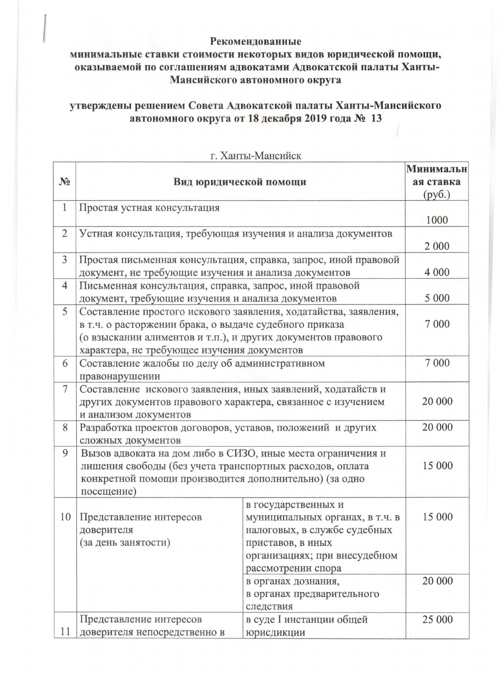## Рекомендованные

## минимальные ставки стоимости некоторых видов юридической помощи, оказываемой по соглашениям адвокатами Адвокатской палаты Ханты-Мансийского автономного округа

## утверждены решением Совета Адвокатской палаты Ханты-Мансийского автономного округа от 18 декабря 2019 года № 13

|                |                                                                 |                                                                  | Минимальн |  |
|----------------|-----------------------------------------------------------------|------------------------------------------------------------------|-----------|--|
| $N_2$          | Вид юридической помощи                                          |                                                                  | ая ставка |  |
|                |                                                                 |                                                                  | (py6.)    |  |
| $\mathbf{1}$   | Простая устная консультация                                     |                                                                  |           |  |
|                |                                                                 |                                                                  | 1000      |  |
| $\overline{2}$ | Устная консультация, требующая изучения и анализа документов    |                                                                  |           |  |
|                |                                                                 |                                                                  | 2 0 0 0   |  |
| $\overline{3}$ | Простая письменная консультация, справка, запрос, иной правовой |                                                                  |           |  |
|                | документ, не требующие изучения и анализа документов            |                                                                  | 4 0 0 0   |  |
| $\overline{4}$ | Письменная консультация, справка, запрос, иной правовой         |                                                                  |           |  |
|                | документ, требующие изучения и анализа документов               |                                                                  | 5 0 0 0   |  |
| 5              |                                                                 | Составление простого искового заявления, ходатайства, заявления, |           |  |
|                | в т.ч. о расторжении брака, о выдаче судебного приказа          |                                                                  | 7 0 0 0   |  |
|                | (о взыскании алиментов и т.п.), и других документов правового   |                                                                  |           |  |
|                | характера, не требующее изучения документов                     |                                                                  |           |  |
| 6              | Составление жалобы по делу об административном                  |                                                                  | 7 0 0 0   |  |
|                | правонарушении                                                  |                                                                  |           |  |
| $\overline{7}$ | Составление искового заявления, иных заявлений, ходатайств и    |                                                                  |           |  |
|                | других документов правового характера, связанное с изучением    |                                                                  | 20 000    |  |
|                | и анализом документов                                           |                                                                  |           |  |
| 8              | Разработка проектов договоров, уставов, положений и других      |                                                                  | 20 000    |  |
|                | сложных документов                                              |                                                                  |           |  |
| 9              | Вызов адвоката на дом либо в СИЗО, иные места ограничения и     |                                                                  |           |  |
|                | лишения свободы (без учета транспортных расходов, оплата        | 15 000                                                           |           |  |
|                | конкретной помощи производится дополнительно) (за одно          |                                                                  |           |  |
|                | посещение)                                                      |                                                                  |           |  |
|                |                                                                 | в государственных и                                              |           |  |
| 10             | Представление интересов                                         | муниципальных органах, в т.ч. в                                  | 15 000    |  |
|                | доверителя                                                      | налоговых, в службе судебных                                     |           |  |
|                | (за день занятости)                                             | приставов, в иных                                                |           |  |
|                |                                                                 | организациях; при внесудебном                                    |           |  |
|                |                                                                 | рассмотрении спора                                               |           |  |
|                |                                                                 | в органах дознания,                                              | 20 000    |  |
|                |                                                                 | в органах предварительного                                       |           |  |
|                |                                                                 | следствия                                                        |           |  |
|                | Представление интересов                                         | в суде I инстанции общей                                         | 25 000    |  |
| 11             | доверителя непосредственно в                                    | юрисдикции                                                       |           |  |

г Ханты-Мансийск